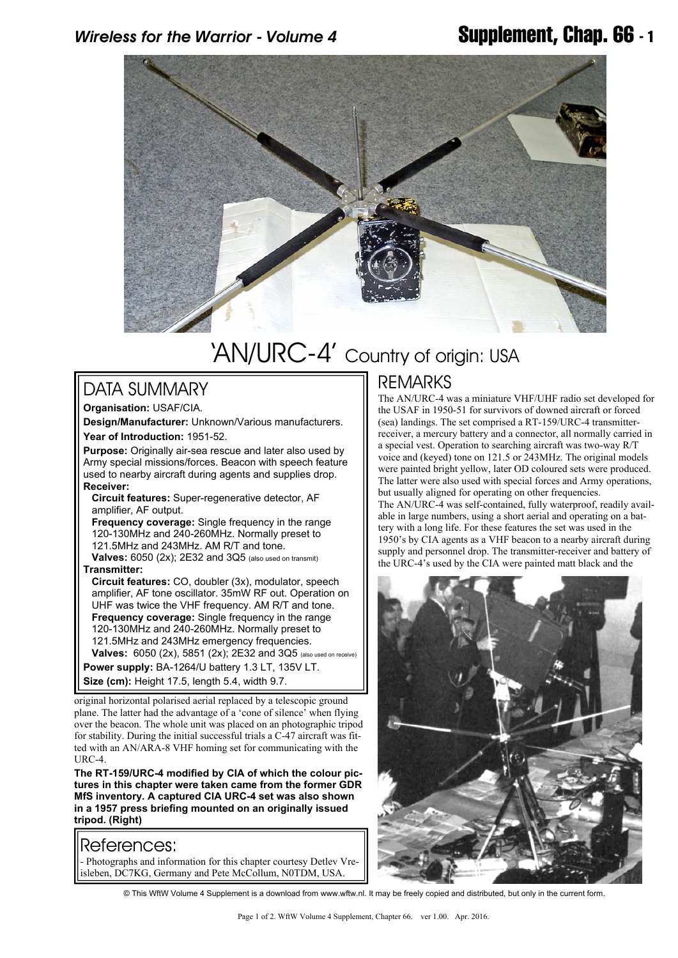

# 'AN/URC-4' Country of origin: USA

#### DATA SUMMARY

**Organisation:** USAF/CIA.

**Design/Manufacturer:** Unknown/Various manufacturers. **Year of Introduction:** 1951-52.

**Purpose:** Originally air-sea rescue and later also used by Army special missions/forces. Beacon with speech feature used to nearby aircraft during agents and supplies drop. **Receiver:**

**Circuit features:** Super-regenerative detector, AF amplifier, AF output.

 **Frequency coverage:** Single frequency in the range 120-130MHz and 240-260MHz. Normally preset to 121.5MHz and 243MHz. AM R/T and tone. **Valves:** 6050 (2x); 2E32 and 3Q5 (also used on transmit)

**Transmitter:**

**Circuit features:** CO, doubler (3x), modulator, speech amplifier, AF tone oscillator. 35mW RF out. Operation on UHF was twice the VHF frequency. AM R/T and tone. **Frequency coverage:** Single frequency in the range 120-130MHz and 240-260MHz. Normally preset to 121.5MHz and 243MHz emergency frequencies. **Valves:** 6050 (2x), 5851 (2x); 2E32 and 3Q5 (also used on receive) **Power supply:** BA-1264/U battery 1.3 LT, 135V LT.

**Size (cm):** Height 17.5, length 5.4, width 9.7.

original horizontal polarised aerial replaced by a telescopic ground plane. The latter had the advantage of a 'cone of silence' when flying over the beacon. The whole unit was placed on an photographic tripod for stability. During the initial successful trials a C-47 aircraft was fitted with an AN/ARA-8 VHF homing set for communicating with the URC-4.

**The RT-159/URC-4 modified by CIA of which the colour pictures in this chapter were taken came from the former GDR MfS inventory. A captured CIA URC-4 set was also shown in a 1957 press briefing mounted on an originally issued tripod. (Right)**

#### References:

- Photographs and information for this chapter courtesy Detlev Vreisleben, DC7KG, Germany and Pete McCollum, N0TDM, USA.

### REMARKS

The AN/URC-4 was a miniature VHF/UHF radio set developed for the USAF in 1950-51 for survivors of downed aircraft or forced (sea) landings. The set comprised a RT-159/URC-4 transmitterreceiver, a mercury battery and a connector, all normally carried in a special vest. Operation to searching aircraft was two-way R/T voice and (keyed) tone on 121.5 or 243MHz. The original models were painted bright yellow, later OD coloured sets were produced. The latter were also used with special forces and Army operations, but usually aligned for operating on other frequencies. The AN/URC-4 was self-contained, fully waterproof, readily available in large numbers, using a short aerial and operating on a battery with a long life. For these features the set was used in the 1950's by CIA agents as a VHF beacon to a nearby aircraft during supply and personnel drop. The transmitter-receiver and battery of the URC-4's used by the CIA were painted matt black and the



© This WftW Volume 4 Supplement is a download from www.wftw.nl. It may be freely copied and distributed, but only in the current form.